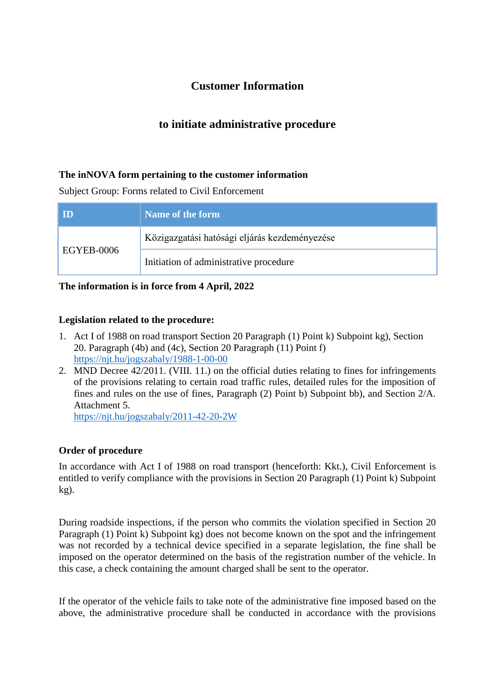# **Customer Information**

# **to initiate administrative procedure**

## **The inNOVA form pertaining to the customer information**

Subject Group: Forms related to Civil Enforcement

| <b>ID</b>  | Name of the form                              |
|------------|-----------------------------------------------|
| EGYEB-0006 | Közigazgatási hatósági eljárás kezdeményezése |
|            | Initiation of administrative procedure        |

**The information is in force from 4 April, 2022** 

### **Legislation related to the procedure:**

- 1. Act I of 1988 on road transport Section 20 Paragraph (1) Point k) Subpoint kg), Section 20. Paragraph (4b) and (4c), Section 20 Paragraph (11) Point f) <https://njt.hu/jogszabaly/1988-1-00-00>
- 2. MND Decree 42/2011. (VIII. 11.) on the official duties relating to fines for infringements of the provisions relating to certain road traffic rules, detailed rules for the imposition of fines and rules on the use of fines, Paragraph (2) Point b) Subpoint bb), and Section 2/A. Attachment 5.

<https://njt.hu/jogszabaly/2011-42-20-2W>

### **Order of procedure**

In accordance with Act I of 1988 on road transport (henceforth: Kkt.), Civil Enforcement is entitled to verify compliance with the provisions in Section 20 Paragraph (1) Point k) Subpoint kg).

During roadside inspections, if the person who commits the violation specified in Section 20 Paragraph (1) Point k) Subpoint kg) does not become known on the spot and the infringement was not recorded by a technical device specified in a separate legislation, the fine shall be imposed on the operator determined on the basis of the registration number of the vehicle. In this case, a check containing the amount charged shall be sent to the operator.

If the operator of the vehicle fails to take note of the administrative fine imposed based on the above, the administrative procedure shall be conducted in accordance with the provisions